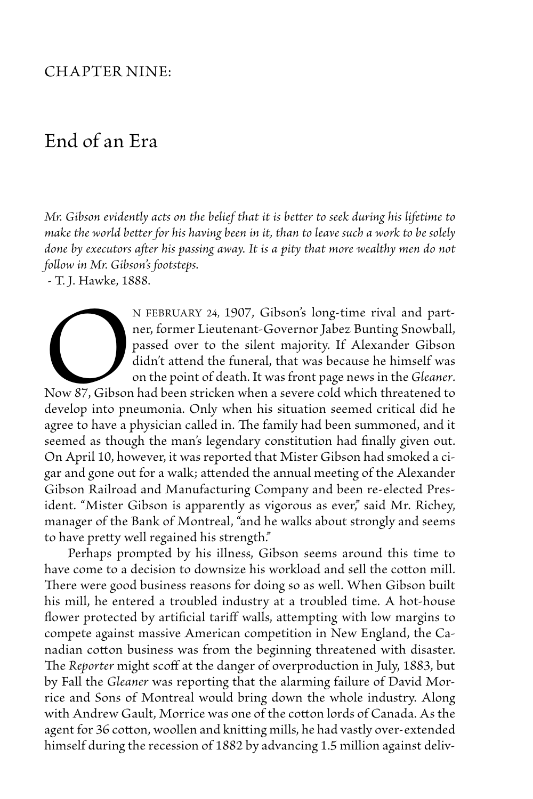## Chapter Nine:

## End of an Era

*Mr. Gibson evidently acts on the belief that it is better to seek during his lifetime to make the world better for his having been in it, than to leave such a work to be solely*  done by executors after his passing away. It is a pity that more wealthy men do not *follow in Mr. Gibson's footsteps.*

- T. J. Hawke, 1888.

N FEBRUARY 24, 1907, Gibson's long-time rival and part-<br>ner, former Lieutenant-Governor Jabez Bunting Snowball,<br>passed over to the silent majority. If Alexander Gibson<br>didn't attend the funeral, that was because he himself ner, former Lieutenant-Governor Jabez Bunting Snowball, passed over to the silent majority. If Alexander Gibson didn't attend the funeral, that was because he himself was on the point of death. It was front page news in the *Gleaner*.

Now 87, Gibson had been stricken when a severe cold which threatened to develop into pneumonia. Only when his situation seemed critical did he agree to have a physician called in. The family had been summoned, and it seemed as though the man's legendary constitution had finally given out. On April 10, however, it was reported that Mister Gibson had smoked a cigar and gone out for a walk; attended the annual meeting of the Alexander Gibson Railroad and Manufacturing Company and been re-elected President. "Mister Gibson is apparently as vigorous as ever," said Mr. Richey, manager of the Bank of Montreal, "and he walks about strongly and seems to have pretty well regained his strength."

 Perhaps prompted by his illness, Gibson seems around this time to have come to a decision to downsize his workload and sell the cotton mill. There were good business reasons for doing so as well. When Gibson built his mill, he entered a troubled industry at a troubled time. A hot-house flower protected by artificial tariff walls, attempting with low margins to compete against massive American competition in New England, the Canadian cotton business was from the beginning threatened with disaster. The *Reporter* might scoff at the danger of overproduction in July, 1883, but by Fall the *Gleaner* was reporting that the alarming failure of David Morrice and Sons of Montreal would bring down the whole industry. Along with Andrew Gault, Morrice was one of the cotton lords of Canada. As the agent for 36 cotton, woollen and knitting mills, he had vastly over-extended himself during the recession of 1882 by advancing 1.5 million against deliv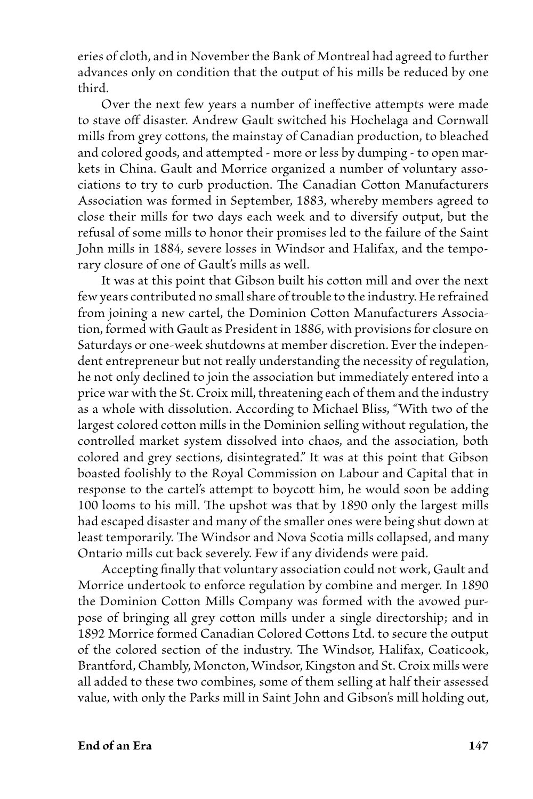eries of cloth, and in November the Bank of Montreal had agreed to further advances only on condition that the output of his mills be reduced by one third.

Over the next few years a number of ineffective attempts were made to stave off disaster. Andrew Gault switched his Hochelaga and Cornwall mills from grey cottons, the mainstay of Canadian production, to bleached and colored goods, and attempted - more or less by dumping - to open markets in China. Gault and Morrice organized a number of voluntary associations to try to curb production. The Canadian Cotton Manufacturers Association was formed in September, 1883, whereby members agreed to close their mills for two days each week and to diversify output, but the refusal of some mills to honor their promises led to the failure of the Saint John mills in 1884, severe losses in Windsor and Halifax, and the temporary closure of one of Gault's mills as well.

 It was at this point that Gibson built his cotton mill and over the next few years contributed no small share of trouble to the industry. He refrained from joining a new cartel, the Dominion Cotton Manufacturers Association, formed with Gault as President in 1886, with provisions for closure on Saturdays or one-week shutdowns at member discretion. Ever the independent entrepreneur but not really understanding the necessity of regulation, he not only declined to join the association but immediately entered into a price war with the St. Croix mill, threatening each of them and the industry as a whole with dissolution. According to Michael Bliss, "With two of the largest colored cotton mills in the Dominion selling without regulation, the controlled market system dissolved into chaos, and the association, both colored and grey sections, disintegrated." It was at this point that Gibson boasted foolishly to the Royal Commission on Labour and Capital that in response to the cartel's attempt to boycott him, he would soon be adding 100 looms to his mill. The upshot was that by 1890 only the largest mills had escaped disaster and many of the smaller ones were being shut down at least temporarily. The Windsor and Nova Scotia mills collapsed, and many Ontario mills cut back severely. Few if any dividends were paid.

 Accepting finally that voluntary association could not work, Gault and Morrice undertook to enforce regulation by combine and merger. In 1890 the Dominion Cotton Mills Company was formed with the avowed purpose of bringing all grey cotton mills under a single directorship; and in 1892 Morrice formed Canadian Colored Cottons Ltd. to secure the output of the colored section of the industry. The Windsor, Halifax, Coaticook, Brantford, Chambly, Moncton, Windsor, Kingston and St. Croix mills were all added to these two combines, some of them selling at half their assessed value, with only the Parks mill in Saint John and Gibson's mill holding out,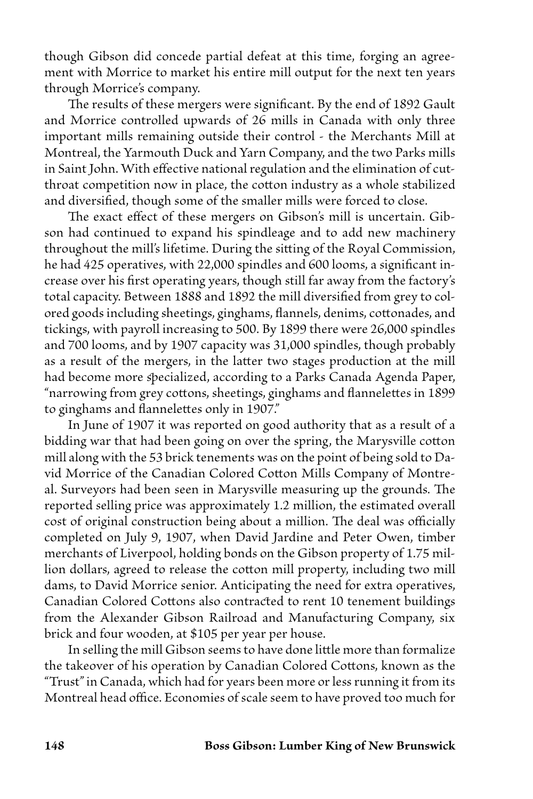though Gibson did concede partial defeat at this time, forging an agreement with Morrice to market his entire mill output for the next ten years through Morrice's company.

The results of these mergers were significant. By the end of 1892 Gault and Morrice controlled upwards of 26 mills in Canada with only three important mills remaining outside their control - the Merchants Mill at Montreal, the Yarmouth Duck and Yarn Company, and the two Parks mills in Saint John. With effective national regulation and the elimination of cutthroat competition now in place, the cotton industry as a whole stabilized and diversified, though some of the smaller mills were forced to close.

The exact effect of these mergers on Gibson's mill is uncertain. Gibson had continued to expand his spindleage and to add new machinery throughout the mill's lifetime. During the sitting of the Royal Commission, he had 425 operatives, with 22,000 spindles and 600 looms, a significant increase over his first operating years, though still far away from the factory's total capacity. Between 1888 and 1892 the mill diversified from grey to colored goods including sheetings, ginghams, flannels, denims, cottonades, and tickings, with payroll increasing to 500. By 1899 there were 26,000 spindles and 700 looms, and by 1907 capacity was 31,000 spindles, though probably as a result of the mergers, in the latter two stages production at the mill had become more specialized, according to a Parks Canada Agenda Paper, "narrowing from grey cottons, sheetings, ginghams and flannelettes in 1899 to ginghams and flannelettes only in 1907."

 In June of 1907 it was reported on good authority that as a result of a bidding war that had been going on over the spring, the Marysville cotton mill along with the 53 brick tenements was on the point of being sold to David Morrice of the Canadian Colored Cotton Mills Company of Montreal. Surveyors had been seen in Marysville measuring up the grounds. The reported selling price was approximately 1.2 million, the estimated overall cost of original construction being about a million. The deal was officially completed on July 9, 1907, when David Jardine and Peter Owen, timber merchants of Liverpool, holding bonds on the Gibson property of 1.75 million dollars, agreed to release the cotton mill property, including two mill dams, to David Morrice senior. Anticipating the need for extra operatives, Canadian Colored Cottons also contracted to rent 10 tenement buildings from the Alexander Gibson Railroad and Manufacturing Company, six brick and four wooden, at \$105 per year per house.

 In selling the mill Gibson seems to have done little more than formalize the takeover of his operation by Canadian Colored Cottons, known as the "Trust" in Canada, which had for years been more or less running it from its Montreal head office. Economies of scale seem to have proved too much for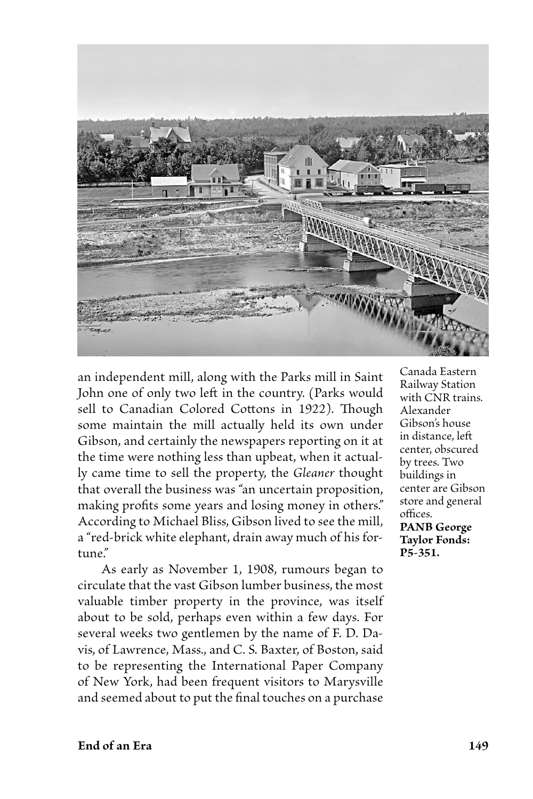

an independent mill, along with the Parks mill in Saint John one of only two left in the country. (Parks would sell to Canadian Colored Cottons in 1922). Though some maintain the mill actually held its own under Gibson, and certainly the newspapers reporting on it at the time were nothing less than upbeat, when it actually came time to sell the property, the *Gleaner* thought that overall the business was "an uncertain proposition, making profits some years and losing money in others." According to Michael Bliss, Gibson lived to see the mill, a "red-brick white elephant, drain away much of his fortune."

 As early as November 1, 1908, rumours began to circulate that the vast Gibson lumber business, the most valuable timber property in the province, was itself about to be sold, perhaps even within a few days. For several weeks two gentlemen by the name of F. D. Davis, of Lawrence, Mass., and C. S. Baxter, of Boston, said to be representing the International Paper Company of New York, had been frequent visitors to Marysville and seemed about to put the final touches on a purchase

Canada Eastern Railway Station with CNR trains. Alexander Gibson's house in distance, left center, obscured by trees. Two buildings in center are Gibson store and general offices. **PANB George Taylor Fonds: P5-351.**